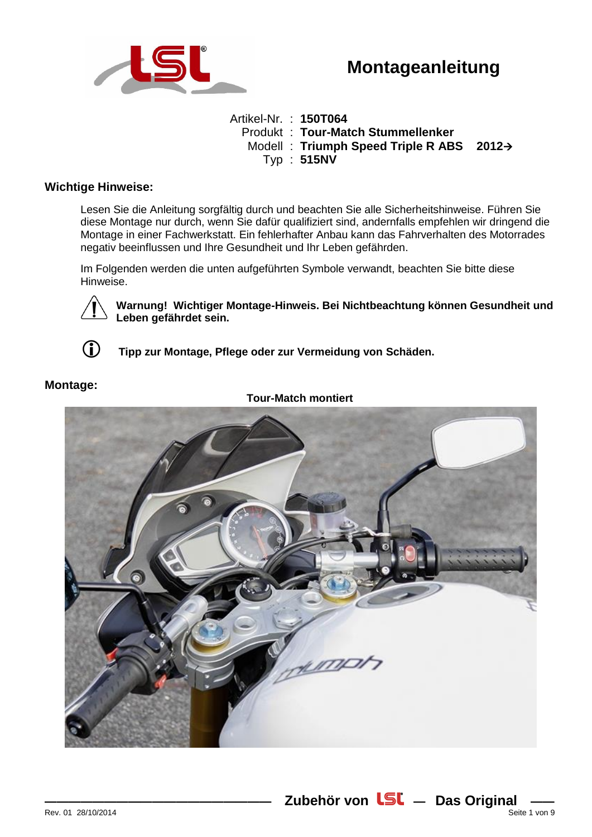

# **Montageanleitung**

Artikel-Nr. : **150T064** Produkt : **Tour-Match Stummellenker** Modell : **Triumph Speed Triple R ABS 2012** Typ : **515NV**

## **Wichtige Hinweise:**

Lesen Sie die Anleitung sorgfältig durch und beachten Sie alle Sicherheitshinweise. Führen Sie diese Montage nur durch, wenn Sie dafür qualifiziert sind, andernfalls empfehlen wir dringend die Montage in einer Fachwerkstatt. Ein fehlerhafter Anbau kann das Fahrverhalten des Motorrades negativ beeinflussen und Ihre Gesundheit und Ihr Leben gefährden.

Im Folgenden werden die unten aufgeführten Symbole verwandt, beachten Sie bitte diese Hinweise.

**Warnung! Wichtiger Montage-Hinweis. Bei Nichtbeachtung können Gesundheit und Leben gefährdet sein.**

**Tipp zur Montage, Pflege oder zur Vermeidung von Schäden.**



# **Montage:**

## **Tour-Match montiert**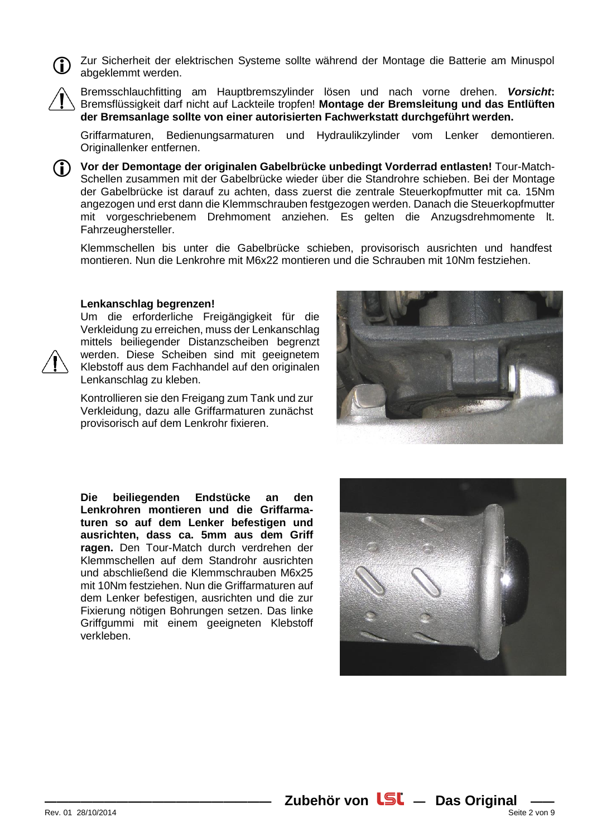Zur Sicherheit der elektrischen Systeme sollte während der Montage die Batterie am Minuspol abgeklemmt werden.



Bremsschlauchfitting am Hauptbremszylinder lösen und nach vorne drehen. *Vorsicht***:** Bremsflüssigkeit darf nicht auf Lackteile tropfen! **Montage der Bremsleitung und das Entlüften der Bremsanlage sollte von einer autorisierten Fachwerkstatt durchgeführt werden.**

Griffarmaturen, Bedienungsarmaturen und Hydraulikzylinder vom Lenker demontieren. Originallenker entfernen.



**Vor der Demontage der originalen Gabelbrücke unbedingt Vorderrad entlasten!** Tour-Match-Schellen zusammen mit der Gabelbrücke wieder über die Standrohre schieben. Bei der Montage der Gabelbrücke ist darauf zu achten, dass zuerst die zentrale Steuerkopfmutter mit ca. 15Nm angezogen und erst dann die Klemmschrauben festgezogen werden. Danach die Steuerkopfmutter mit vorgeschriebenem Drehmoment anziehen. Es gelten die Anzugsdrehmomente lt. Fahrzeughersteller.

Klemmschellen bis unter die Gabelbrücke schieben, provisorisch ausrichten und handfest montieren. Nun die Lenkrohre mit M6x22 montieren und die Schrauben mit 10Nm festziehen.

#### **Lenkanschlag begrenzen!**

Um die erforderliche Freigängigkeit für die Verkleidung zu erreichen, muss der Lenkanschlag mittels beiliegender Distanzscheiben begrenzt werden. Diese Scheiben sind mit geeignetem Klebstoff aus dem Fachhandel auf den originalen Lenkanschlag zu kleben.

Kontrollieren sie den Freigang zum Tank und zur Verkleidung, dazu alle Griffarmaturen zunächst provisorisch auf dem Lenkrohr fixieren.



**Die beiliegenden Endstücke an den Lenkrohren montieren und die Griffarmaturen so auf dem Lenker befestigen und ausrichten, dass ca. 5mm aus dem Griff ragen.** Den Tour-Match durch verdrehen der Klemmschellen auf dem Standrohr ausrichten und abschließend die Klemmschrauben M6x25 mit 10Nm festziehen. Nun die Griffarmaturen auf dem Lenker befestigen, ausrichten und die zur Fixierung nötigen Bohrungen setzen. Das linke Griffgummi mit einem geeigneten Klebstoff verkleben.

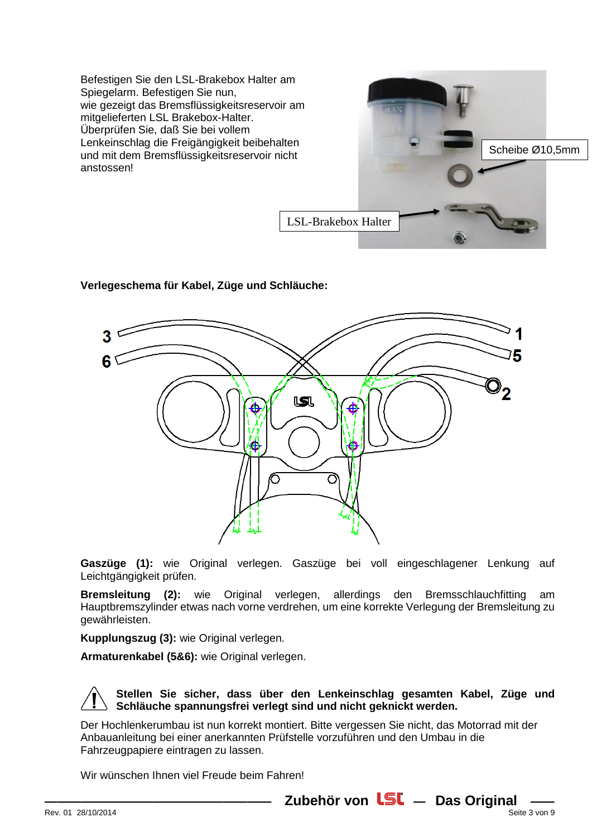Befestigen Sie den LSL-Brakebox Halter am Spiegelarm. Befestigen Sie nun, wie gezeigt das Bremsflüssigkeitsreservoir am mitgelieferten LSL Brakebox-Halter. Überprüfen Sie, daß Sie bei vollem Lenkeinschlag die Freigängigkeit beibehalten und mit dem Bremsflüssigkeitsreservoir nicht anstossen!



# **Verlegeschema für Kabel, Züge und Schläuche:**



**Gaszüge (1):** wie Original verlegen. Gaszüge bei voll eingeschlagener Lenkung auf Leichtgängigkeit prüfen.

**Bremsleitung (2):** wie Original verlegen, allerdings den Bremsschlauchfitting am Hauptbremszylinder etwas nach vorne verdrehen, um eine korrekte Verlegung der Bremsleitung zu gewährleisten.

**Kupplungszug (3):** wie Original verlegen.

**Armaturenkabel (5&6):** wie Original verlegen.

**Stellen Sie sicher, dass über den Lenkeinschlag gesamten Kabel, Züge und Schläuche spannungsfrei verlegt sind und nicht geknickt werden.**

Der Hochlenkerumbau ist nun korrekt montiert. Bitte vergessen Sie nicht, das Motorrad mit der Anbauanleitung bei einer anerkannten Prüfstelle vorzuführen und den Umbau in die Fahrzeugpapiere eintragen zu lassen.

Wir wünschen Ihnen viel Freude beim Fahren!

**Zubehör von LSL** - Das Original -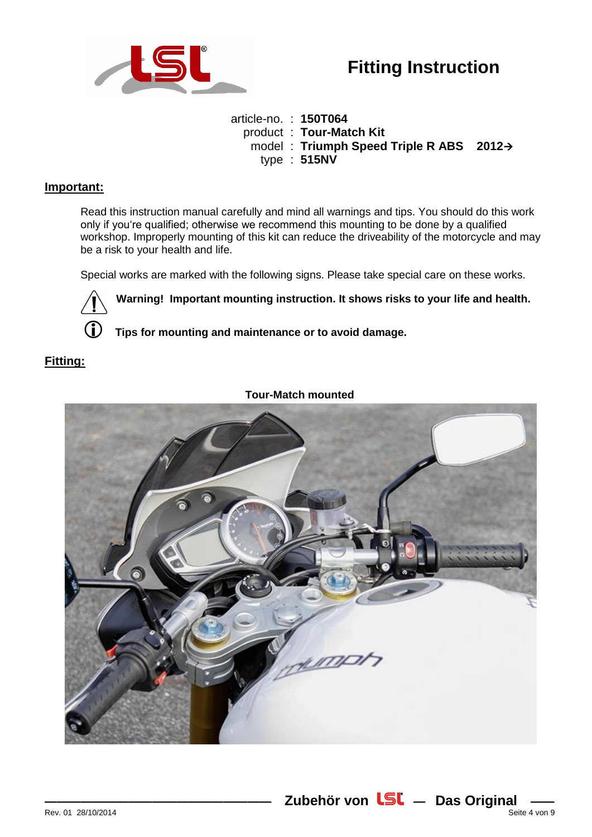

article-no. : **150T064** product : **Tour-Match Kit**  model : **Triumph Speed Triple R ABS 2012** type : **515NV**

## **Important:**

Read this instruction manual carefully and mind all warnings and tips. You should do this work only if you're qualified; otherwise we recommend this mounting to be done by a qualified workshop. Improperly mounting of this kit can reduce the driveability of the motorcycle and may be a risk to your health and life.

Special works are marked with the following signs. Please take special care on these works.



**Warning! Important mounting instruction. It shows risks to your life and health.**

**Tips for mounting and maintenance or to avoid damage.**

# **Fitting:**



**Tour-Match mounted**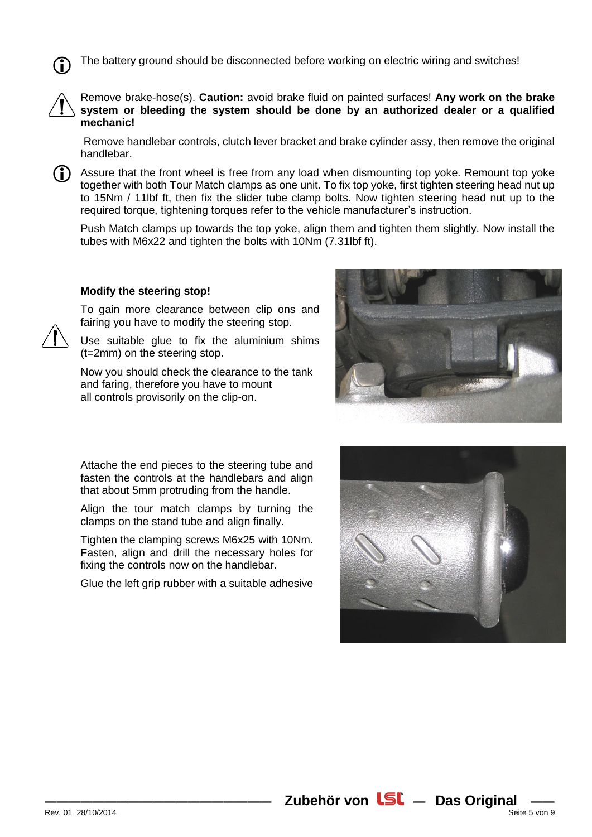The battery ground should be disconnected before working on electric wiring and switches!



Remove brake-hose(s). **Caution:** avoid brake fluid on painted surfaces! **Any work on the brake system or bleeding the system should be done by an authorized dealer or a qualified mechanic!**

Remove handlebar controls, clutch lever bracket and brake cylinder assy, then remove the original handlebar.

Assure that the front wheel is free from any load when dismounting top yoke. Remount top yoke together with both Tour Match clamps as one unit. To fix top yoke, first tighten steering head nut up to 15Nm / 11lbf ft, then fix the slider tube clamp bolts. Now tighten steering head nut up to the required torque, tightening torques refer to the vehicle manufacturer's instruction. G)

Push Match clamps up towards the top yoke, align them and tighten them slightly. Now install the tubes with M6x22 and tighten the bolts with 10Nm (7.31lbf ft).

### **Modify the steering stop!**

To gain more clearance between clip ons and fairing you have to modify the steering stop.

Use suitable glue to fix the aluminium shims (t=2mm) on the steering stop.

Now you should check the clearance to the tank and faring, therefore you have to mount all controls provisorily on the clip-on.



Attache the end pieces to the steering tube and fasten the controls at the handlebars and align that about 5mm protruding from the handle.

Align the tour match clamps by turning the clamps on the stand tube and align finally.

Tighten the clamping screws M6x25 with 10Nm. Fasten, align and drill the necessary holes for fixing the controls now on the handlebar.

Glue the left grip rubber with a suitable adhesive

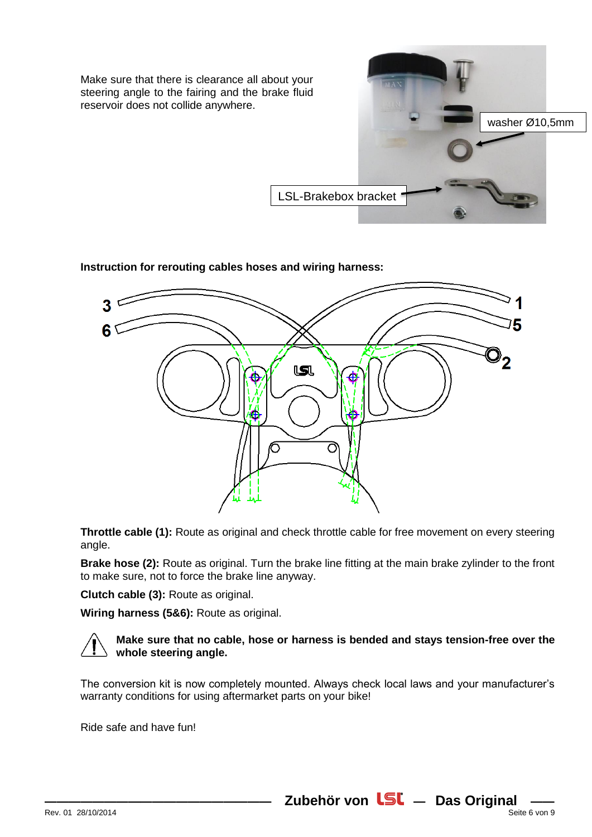Make sure that there is clearance all about your steering angle to the fairing and the brake fluid reservoir does not collide anywhere.



**Instruction for rerouting cables hoses and wiring harness:**



**Throttle cable (1):** Route as original and check throttle cable for free movement on every steering angle.

**Brake hose (2):** Route as original. Turn the brake line fitting at the main brake zylinder to the front to make sure, not to force the brake line anyway.

**Clutch cable (3):** Route as original.

**Wiring harness (5&6):** Route as original.



## **Make sure that no cable, hose or harness is bended and stays tension-free over the whole steering angle.**

The conversion kit is now completely mounted. Always check local laws and your manufacturer's warranty conditions for using aftermarket parts on your bike!

Ride safe and have fun!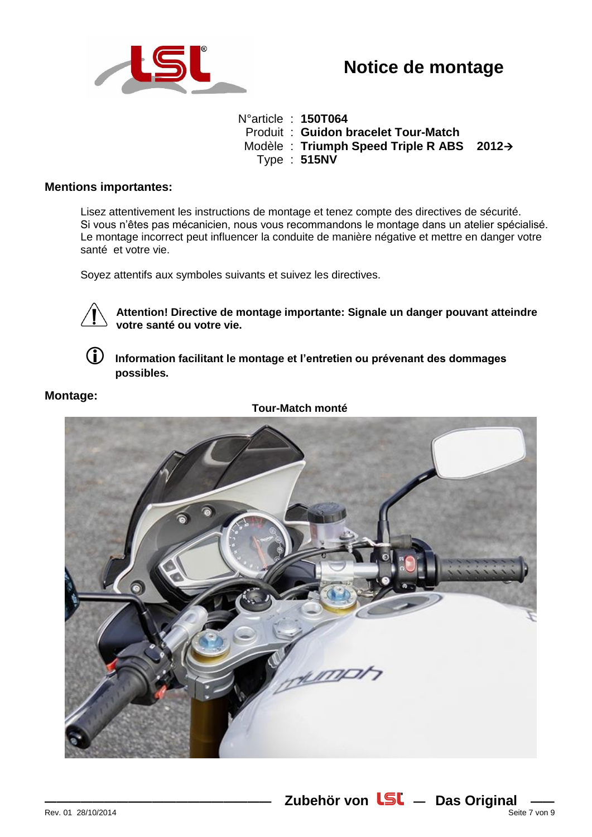

N°article : **150T064** Produit : **Guidon bracelet Tour-Match**  Modèle : **Triumph Speed Triple R ABS 2012** Type : **515NV**

## **Mentions importantes:**

Lisez attentivement les instructions de montage et tenez compte des directives de sécurité. Si vous n'êtes pas mécanicien, nous vous recommandons le montage dans un atelier spécialisé. Le montage incorrect peut influencer la conduite de manière négative et mettre en danger votre santé et votre vie.

Soyez attentifs aux symboles suivants et suivez les directives.



**Attention! Directive de montage importante: Signale un danger pouvant atteindre votre santé ou votre vie.**



 **Information facilitant le montage et l'entretien ou prévenant des dommages possibles.**

# **Montage:**

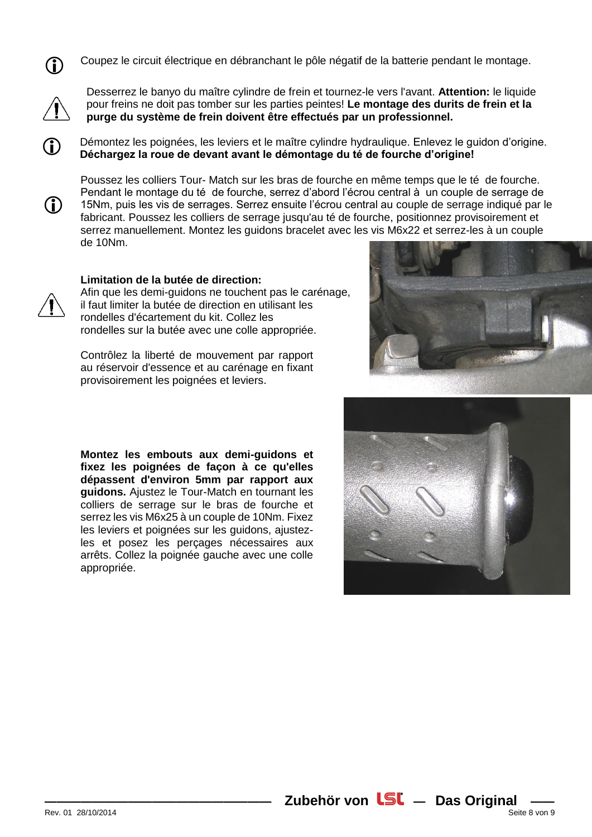

Coupez le circuit électrique en débranchant le pôle négatif de la batterie pendant le montage.



G)

(i)

Desserrez le banyo du maître cylindre de frein et tournez-le vers l'avant. **Attention:** le liquide pour freins ne doit pas tomber sur les parties peintes! **Le montage des durits de frein et la purge du système de frein doivent être effectués par un professionnel.** 

Démontez les poignées, les leviers et le maître cylindre hydraulique. Enlevez le guidon d'origine. **Déchargez la roue de devant avant le démontage du té de fourche d'origine!**

Poussez les colliers Tour- Match sur les bras de fourche en même temps que le té de fourche. Pendant le montage du té de fourche, serrez d'abord l'écrou central à un couple de serrage de 15Nm, puis les vis de serrages. Serrez ensuite l'écrou central au couple de serrage indiqué par le fabricant. Poussez les colliers de serrage jusqu'au té de fourche, positionnez provisoirement et serrez manuellement. Montez les guidons bracelet avec les vis M6x22 et serrez-les à un couple de 10Nm.

### **Limitation de la butée de direction:**

Afin que les demi-guidons ne touchent pas le carénage, il faut limiter la butée de direction en utilisant les rondelles d'écartement du kit. Collez les rondelles sur la butée avec une colle appropriée.

Contrôlez la liberté de mouvement par rapport au réservoir d'essence et au carénage en fixant provisoirement les poignées et leviers.



**Montez les embouts aux demi-guidons et fixez les poignées de façon à ce qu'elles dépassent d'environ 5mm par rapport aux guidons.** Ajustez le Tour-Match en tournant les colliers de serrage sur le bras de fourche et serrez les vis M6x25 à un couple de 10Nm. Fixez les leviers et poignées sur les guidons, ajustezles et posez les perçages nécessaires aux arrêts. Collez la poignée gauche avec une colle appropriée.